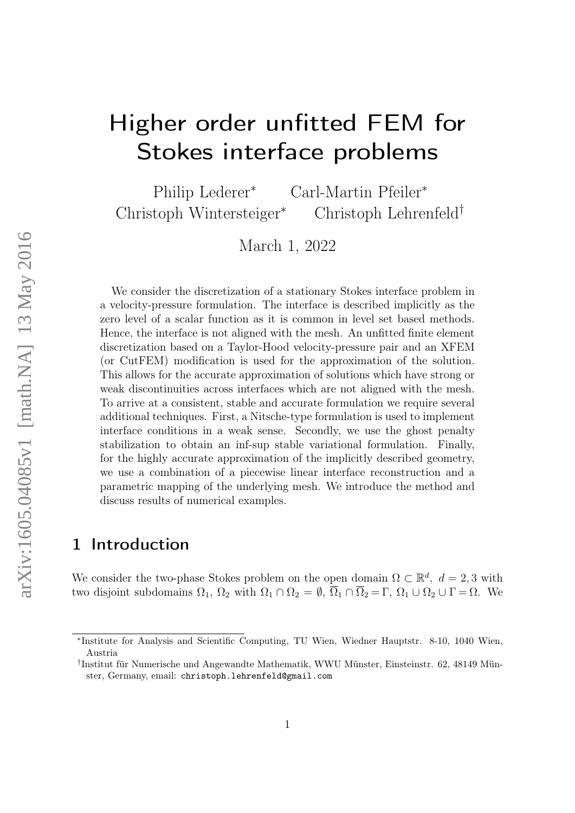# Higher order unfitted FEM for Stokes interface problems

Philip Lederer<sup>∗</sup> Carl-Martin Pfeiler<sup>∗</sup> Christoph Wintersteiger<sup>∗</sup> Christoph Lehrenfeld†

March 1, 2022

We consider the discretization of a stationary Stokes interface problem in a velocity-pressure formulation. The interface is described implicitly as the zero level of a scalar function as it is common in level set based methods. Hence, the interface is not aligned with the mesh. An unfitted finite element discretization based on a Taylor-Hood velocity-pressure pair and an XFEM (or CutFEM) modification is used for the approximation of the solution. This allows for the accurate approximation of solutions which have strong or weak discontinuities across interfaces which are not aligned with the mesh. To arrive at a consistent, stable and accurate formulation we require several additional techniques. First, a Nitsche-type formulation is used to implement interface conditions in a weak sense. Secondly, we use the ghost penalty stabilization to obtain an inf-sup stable variational formulation. Finally, for the highly accurate approximation of the implicitly described geometry, we use a combination of a piecewise linear interface reconstruction and a parametric mapping of the underlying mesh. We introduce the method and discuss results of numerical examples.

# 1 Introduction

We consider the two-phase Stokes problem on the open domain  $\Omega \subset \mathbb{R}^d$ ,  $d = 2, 3$  with two disjoint subdomains  $\Omega_1$ ,  $\Omega_2$  with  $\Omega_1 \cap \Omega_2 = \emptyset$ ,  $\overline{\Omega}_1 \cap \overline{\Omega}_2 = \Gamma$ ,  $\Omega_1 \cup \Omega_2 \cup \Gamma = \Omega$ . We

<sup>∗</sup> Institute for Analysis and Scientific Computing, TU Wien, Wiedner Hauptstr. 8-10, 1040 Wien, Austria

<sup>†</sup> Institut für Numerische und Angewandte Mathematik, WWU Münster, Einsteinstr. 62, 48149 Münster, Germany, email: christoph.lehrenfeld@gmail.com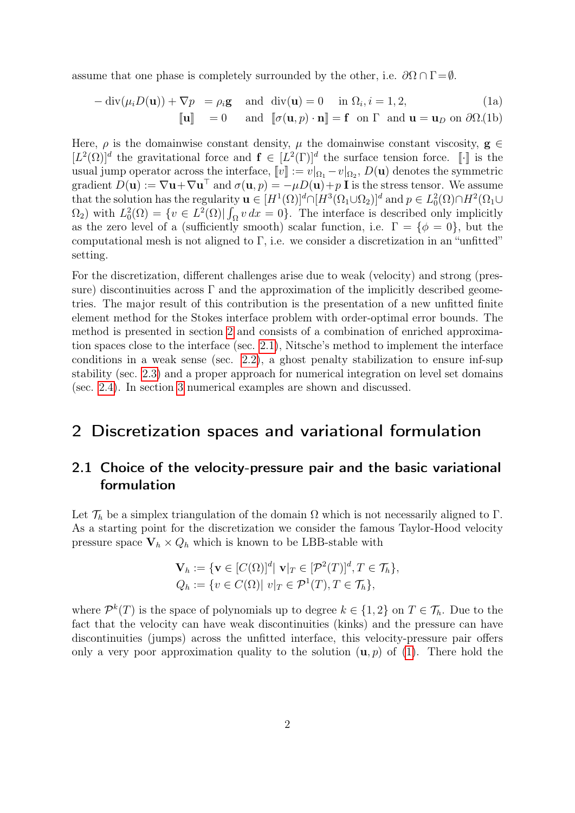assume that one phase is completely surrounded by the other, i.e.  $\partial\Omega \cap \Gamma = \emptyset$ .

<span id="page-1-3"></span><span id="page-1-2"></span>
$$
-\operatorname{div}(\mu_i D(\mathbf{u})) + \nabla p = \rho_i \mathbf{g} \quad \text{and} \quad \operatorname{div}(\mathbf{u}) = 0 \quad \text{in } \Omega_i, i = 1, 2,
$$
  
\n
$$
[\![\mathbf{u}]\!] = 0 \quad \text{and} \quad [\![\sigma(\mathbf{u}, p) \cdot \mathbf{n}]\!] = \mathbf{f} \quad \text{on } \Gamma \quad \text{and } \mathbf{u} = \mathbf{u}_D \text{ on } \partial\Omega.
$$
(1b)

Here,  $\rho$  is the domainwise constant density,  $\mu$  the domainwise constant viscosity,  $g \in$  $[L^2(\Omega)]^d$  the gravitational force and  $\mathbf{f} \in [L^2(\Gamma)]^d$  the surface tension force. [i] is the usual jump operator across the interface,  $[v] := v|_{\Omega_1} - v|_{\Omega_2}$ ,  $D(\mathbf{u})$  denotes the symmetric gradient  $D(\mathbf{u}) := \nabla \mathbf{u} + \nabla \mathbf{u}^\top$  and  $\sigma(\mathbf{u}, p) = -\mu D(\mathbf{u}) + p \mathbf{I}$  is the stress tensor. We assume that the solution has the regularity  $\mathbf{u} \in [H^1(\Omega)]^d \cap [H^3(\Omega_1 \cup \Omega_2)]^d$  and  $p \in L^2_0(\Omega) \cap H^2(\Omega_1 \cup$  $\Omega_2$ ) with  $L_0^2(\Omega) = \{v \in L^2(\Omega) | \int_{\Omega} v \, dx = 0\}$ . The interface is described only implicitly as the zero level of a (sufficiently smooth) scalar function, i.e.  $\Gamma = \{\phi = 0\}$ , but the computational mesh is not aligned to Γ, i.e. we consider a discretization in an "unfitted" setting.

For the discretization, different challenges arise due to weak (velocity) and strong (pressure) discontinuities across  $\Gamma$  and the approximation of the implicitly described geometries. The major result of this contribution is the presentation of a new unfitted finite element method for the Stokes interface problem with order-optimal error bounds. The method is presented in section [2](#page-1-0) and consists of a combination of enriched approximation spaces close to the interface (sec. [2.1\)](#page-1-1), Nitsche's method to implement the interface conditions in a weak sense (sec. [2.2\)](#page-2-0), a ghost penalty stabilization to ensure inf-sup stability (sec. [2.3\)](#page-3-0) and a proper approach for numerical integration on level set domains (sec. [2.4\)](#page-5-0). In section [3](#page-6-0) numerical examples are shown and discussed.

## <span id="page-1-0"></span>2 Discretization spaces and variational formulation

#### <span id="page-1-1"></span>2.1 Choice of the velocity-pressure pair and the basic variational formulation

Let  $\mathcal{T}_h$  be a simplex triangulation of the domain  $\Omega$  which is not necessarily aligned to  $\Gamma$ . As a starting point for the discretization we consider the famous Taylor-Hood velocity pressure space  $V_h \times Q_h$  which is known to be LBB-stable with

$$
\mathbf{V}_h := \{ \mathbf{v} \in [C(\Omega)]^d | \mathbf{v} |_T \in [\mathcal{P}^2(T)]^d, T \in \mathcal{T}_h \},
$$
  

$$
Q_h := \{ v \in C(\Omega) | \mathbf{v} |_T \in \mathcal{P}^1(T), T \in \mathcal{T}_h \},
$$

where  $\mathcal{P}^k(T)$  is the space of polynomials up to degree  $k \in \{1,2\}$  on  $T \in \mathcal{T}_h$ . Due to the fact that the velocity can have weak discontinuities (kinks) and the pressure can have discontinuities (jumps) across the unfitted interface, this velocity-pressure pair offers only a very poor approximation quality to the solution  $(\mathbf{u}, p)$  of [\(1\)](#page-1-2). There hold the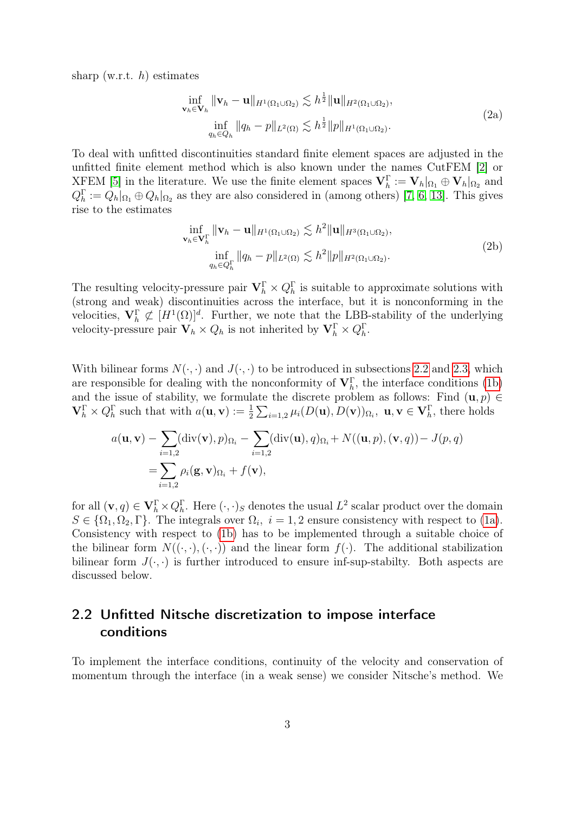<span id="page-2-2"></span>sharp (w.r.t.  $h$ ) estimates

$$
\inf_{\mathbf{v}_h \in \mathbf{V}_h} \|\mathbf{v}_h - \mathbf{u}\|_{H^1(\Omega_1 \cup \Omega_2)} \lesssim h^{\frac{1}{2}} \|\mathbf{u}\|_{H^2(\Omega_1 \cup \Omega_2)},
$$
\n
$$
\inf_{q_h \in Q_h} \|q_h - p\|_{L^2(\Omega)} \lesssim h^{\frac{1}{2}} \|p\|_{H^1(\Omega_1 \cup \Omega_2)}.
$$
\n(2a)

To deal with unfitted discontinuities standard finite element spaces are adjusted in the unfitted finite element method which is also known under the names CutFEM [\[2\]](#page-8-0) or XFEM [\[5\]](#page-8-1) in the literature. We use the finite element spaces  $\mathbf{V}_h^{\Gamma} := \mathbf{V}_h|_{\Omega_1} \oplus \mathbf{V}_h|_{\Omega_2}$  and  $Q_h^{\Gamma} := Q_h|_{\Omega_1} \oplus Q_h|_{\Omega_2}$  as they are also considered in (among others) [\[7,](#page-8-2) [6,](#page-8-3) [13\]](#page-9-0). This gives rise to the estimates

$$
\inf_{\mathbf{v}_h \in \mathbf{V}_h^{\Gamma}} \|\mathbf{v}_h - \mathbf{u}\|_{H^1(\Omega_1 \cup \Omega_2)} \lesssim h^2 \|\mathbf{u}\|_{H^3(\Omega_1 \cup \Omega_2)},
$$
\n
$$
\inf_{q_h \in Q_h^{\Gamma}} \|q_h - p\|_{L^2(\Omega)} \lesssim h^2 \|p\|_{H^2(\Omega_1 \cup \Omega_2)}.
$$
\n(2b)

<span id="page-2-1"></span>The resulting velocity-pressure pair  $\mathbf{V}_h^{\Gamma} \times Q_h^{\Gamma}$  is suitable to approximate solutions with (strong and weak) discontinuities across the interface, but it is nonconforming in the velocities,  $\mathbf{V}_h^{\Gamma} \not\subset [H^1(\Omega)]^d$ . Further, we note that the LBB-stability of the underlying velocity-pressure pair  $\mathbf{V}_h \times Q_h$  is not inherited by  $\mathbf{V}_h^{\Gamma} \times Q_h^{\Gamma}$ .

With bilinear forms  $N(\cdot, \cdot)$  and  $J(\cdot, \cdot)$  to be introduced in subsections [2.2](#page-2-0) and [2.3,](#page-3-0) which are responsible for dealing with the nonconformity of  $\mathbf{V}_h^{\Gamma}$ , the interface conditions [\(1b\)](#page-1-3) and the issue of stability, we formulate the discrete problem as follows: Find  $(\mathbf{u}, p) \in$  $\mathbf{V}_{h}^{\Gamma} \times Q_{h}^{\Gamma}$  such that with  $a(\mathbf{u}, \mathbf{v}) := \frac{1}{2} \sum_{i=1,2} \mu_i(D(\mathbf{u}), D(\mathbf{v}))_{\Omega_i}, \mathbf{u}, \mathbf{v} \in \mathbf{V}_{h}^{\Gamma}$ , there holds

$$
a(\mathbf{u}, \mathbf{v}) - \sum_{i=1,2} (\text{div}(\mathbf{v}), p)_{\Omega_i} - \sum_{i=1,2} (\text{div}(\mathbf{u}), q)_{\Omega_i} + N((\mathbf{u}, p), (\mathbf{v}, q)) - J(p, q)
$$
  
= 
$$
\sum_{i=1,2} \rho_i(\mathbf{g}, \mathbf{v})_{\Omega_i} + f(\mathbf{v}),
$$

for all  $(\mathbf{v}, q) \in \mathbf{V}_{h}^{\Gamma} \times Q_{h}^{\Gamma}$ . Here  $(\cdot, \cdot)_{S}$  denotes the usual  $L^{2}$  scalar product over the domain  $S \in \{\Omega_1, \Omega_2, \Gamma\}$ . The integrals over  $\Omega_i$ ,  $i = 1, 2$  ensure consistency with respect to [\(1a\)](#page-1-3). Consistency with respect to [\(1b\)](#page-1-3) has to be implemented through a suitable choice of the bilinear form  $N((\cdot, \cdot), (\cdot, \cdot))$  and the linear form  $f(\cdot)$ . The additional stabilization bilinear form  $J(\cdot, \cdot)$  is further introduced to ensure inf-sup-stabilty. Both aspects are discussed below.

### <span id="page-2-0"></span>2.2 Unfitted Nitsche discretization to impose interface conditions

To implement the interface conditions, continuity of the velocity and conservation of momentum through the interface (in a weak sense) we consider Nitsche's method. We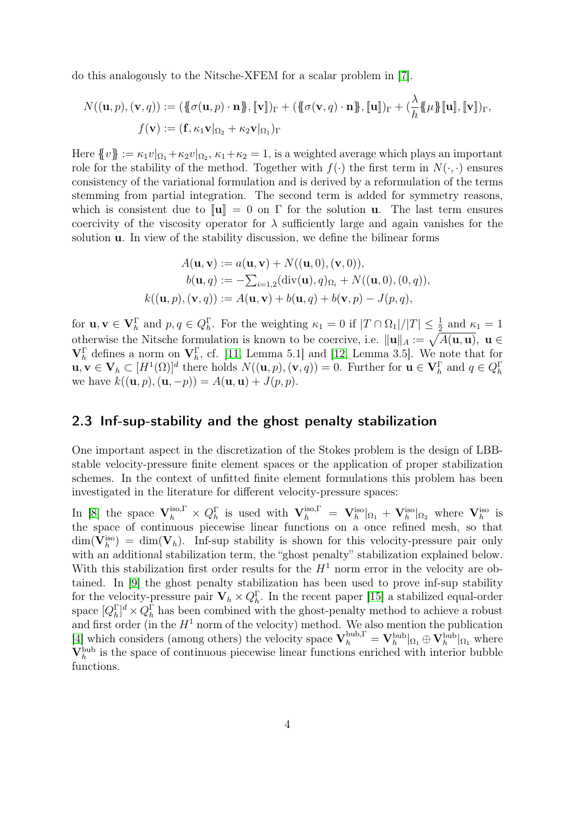do this analogously to the Nitsche-XFEM for a scalar problem in [\[7\]](#page-8-2).

$$
N((\mathbf{u},p),(\mathbf{v},q)) := (\{\!\!\{ \sigma(\mathbf{u},p)\cdot\mathbf{n} \}, [\![\mathbf{v}]\!] \}_{\Gamma} + (\{\!\!\{ \sigma(\mathbf{v},q)\cdot\mathbf{n} \}, [\![\mathbf{u}]\!] \}_{\Gamma} + (\frac{\lambda}{h} \{\!\!\{ \mu \}\!\!\}[ \mathbf{u}]\!], [\![\mathbf{v}]\!] \}_{\Gamma},
$$

$$
f(\mathbf{v}) := (\mathbf{f}, \kappa_1 \mathbf{v}|_{\Omega_2} + \kappa_2 \mathbf{v}|_{\Omega_1})_{\Gamma}
$$

Here  $\{v\} := \kappa_1 v|_{\Omega_1} + \kappa_2 v|_{\Omega_2}, \kappa_1 + \kappa_2 = 1$ , is a weighted average which plays an important role for the stability of the method. Together with  $f(\cdot)$  the first term in  $N(\cdot, \cdot)$  ensures consistency of the variational formulation and is derived by a reformulation of the terms stemming from partial integration. The second term is added for symmetry reasons, which is consistent due to  $\|\mathbf{u}\| = 0$  on  $\Gamma$  for the solution **u**. The last term ensures coercivity of the viscosity operator for  $\lambda$  sufficiently large and again vanishes for the solution u. In view of the stability discussion, we define the bilinear forms

$$
A(\mathbf{u}, \mathbf{v}) := a(\mathbf{u}, \mathbf{v}) + N((\mathbf{u}, 0), (\mathbf{v}, 0)),
$$
  
\n
$$
b(\mathbf{u}, q) := -\sum_{i=1,2} (\text{div}(\mathbf{u}), q)_{\Omega_i} + N((\mathbf{u}, 0), (0, q)),
$$
  
\n
$$
k((\mathbf{u}, p), (\mathbf{v}, q)) := A(\mathbf{u}, \mathbf{v}) + b(\mathbf{u}, q) + b(\mathbf{v}, p) - J(p, q),
$$

for  $\mathbf{u}, \mathbf{v} \in \mathbf{V}_{h}^{\Gamma}$  and  $p, q \in Q_{h}^{\Gamma}$ . For the weighting  $\kappa_1 = 0$  if  $|T \cap \Omega_1|/|T| \leq \frac{1}{2}$  and  $\kappa_1 = 1$ otherwise the Nitsche formulation is known to be coercive, i.e.  $\|\mathbf{u}\|_A := \sqrt{A(\mathbf{u}, \mathbf{u})}$ ,  $\mathbf{u} \in$  $\mathbf{V}_h^{\Gamma}$  defines a norm on  $\mathbf{V}_h^{\Gamma}$ , cf. [\[11,](#page-9-1) Lemma 5.1] and [\[12,](#page-9-2) Lemma 3.5]. We note that for  $\mathbf{u}, \mathbf{v} \in \mathbf{V}_h \subset [H^1(\Omega)]^d$  there holds  $N((\mathbf{u}, p), (\mathbf{v}, q)) = 0$ . Further for  $\mathbf{u} \in \mathbf{V}_h^{\Gamma}$  and  $q \in Q_h^{\Gamma}$ we have  $k((u, p), (u, -p)) = A(u, u) + J(p, p).$ 

#### <span id="page-3-0"></span>2.3 Inf-sup-stability and the ghost penalty stabilization

One important aspect in the discretization of the Stokes problem is the design of LBBstable velocity-pressure finite element spaces or the application of proper stabilization schemes. In the context of unfitted finite element formulations this problem has been investigated in the literature for different velocity-pressure spaces:

In [\[8\]](#page-8-4) the space  $\mathbf{V}_h^{\text{iso},\Gamma} \times Q_h^{\Gamma}$  is used with  $\mathbf{V}_h^{\text{iso},\Gamma} = \mathbf{V}_h^{\text{iso}}|_{\Omega_1} + \mathbf{V}_h^{\text{iso}}|_{\Omega_2}$  where  $\mathbf{V}_h^{\text{iso}}$  is the space of continuous piecewise linear functions on a once refined mesh, so that  $\dim(\mathbf{V}_h^{\text{iso}}) = \dim(\mathbf{V}_h)$ . Inf-sup stability is shown for this velocity-pressure pair only with an additional stabilization term, the "ghost penalty" stabilization explained below. With this stabilization first order results for the  $H<sup>1</sup>$  norm error in the velocity are obtained. In [\[9\]](#page-8-5) the ghost penalty stabilization has been used to prove inf-sup stability for the velocity-pressure pair  $\mathbf{V}_h \times Q_h^{\Gamma}$ . In the recent paper [\[15\]](#page-9-3) a stabilized equal-order space  $[Q_h^{\Gamma}]^d \times Q_h^{\Gamma}$  has been combined with the ghost-penalty method to achieve a robust and first order (in the  $H^1$  norm of the velocity) method. We also mention the publication [\[4\]](#page-8-6) which considers (among others) the velocity space  $\mathbf{V}_h^{\text{bub},\Gamma} = \mathbf{V}_h^{\text{bub}}|_{\Omega_1} \oplus \mathbf{V}_h^{\text{bub}}|_{\Omega_1}$  where  $V_h^{\text{bub}}$  is the space of continuous piecewise linear functions enriched with interior bubble functions.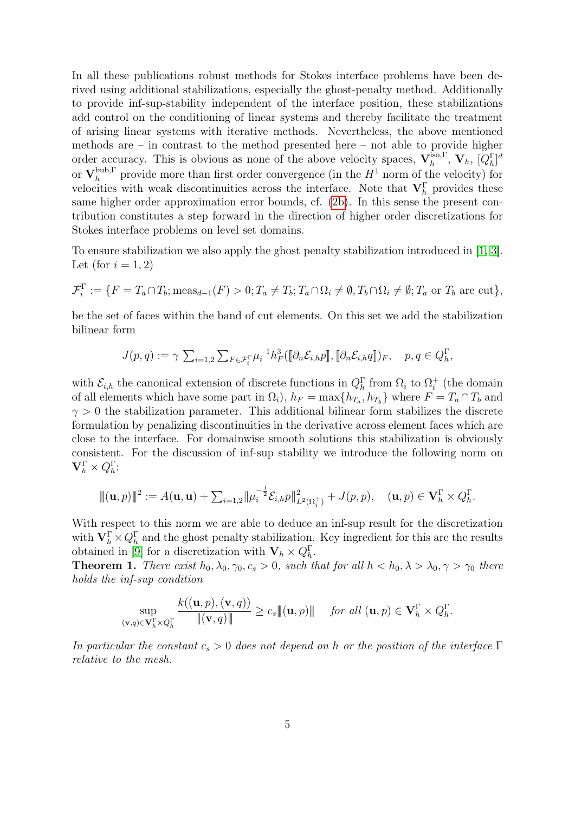In all these publications robust methods for Stokes interface problems have been derived using additional stabilizations, especially the ghost-penalty method. Additionally to provide inf-sup-stability independent of the interface position, these stabilizations add control on the conditioning of linear systems and thereby facilitate the treatment of arising linear systems with iterative methods. Nevertheless, the above mentioned methods are – in contrast to the method presented here – not able to provide higher order accuracy. This is obvious as none of the above velocity spaces,  $V_h^{iso,\Gamma}$  $_{h}^{\mathrm{iso},\Gamma},\,\mathbf{V}_{h},\,[Q_{h}^{\Gamma}]^{d}$ or  $\mathbf{V}_{h}^{\text{bub},\Gamma}$  $h_h^{\text{bub},\Gamma}$  provide more than first order convergence (in the  $H^1$  norm of the velocity) for velocities with weak discontinuities across the interface. Note that  $V_h^{\Gamma}$  provides these same higher order approximation error bounds, cf. [\(2b\)](#page-2-1). In this sense the present contribution constitutes a step forward in the direction of higher order discretizations for Stokes interface problems on level set domains.

To ensure stabilization we also apply the ghost penalty stabilization introduced in [\[1,](#page-8-7) [3\]](#page-8-8). Let (for  $i = 1, 2$ )

$$
\mathcal{F}_i^{\Gamma} := \{ F = T_a \cap T_b; \text{meas}_{d-1}(F) > 0; T_a \neq T_b; T_a \cap \Omega_i \neq \emptyset, T_b \cap \Omega_i \neq \emptyset; T_a \text{ or } T_b \text{ are cut} \},\
$$

be the set of faces within the band of cut elements. On this set we add the stabilization bilinear form

$$
J(p,q) := \gamma \sum_{i=1,2} \sum_{F \in \mathcal{F}_i^{\Gamma}} \mu_i^{-1} h_F^3([\partial_n \mathcal{E}_{i,h} p], [\partial_n \mathcal{E}_{i,h} q])_F, \quad p, q \in Q_h^{\Gamma},
$$

with  $\mathcal{E}_{i,h}$  the canonical extension of discrete functions in  $Q_h^{\Gamma}$  from  $\Omega_i$  to  $\Omega_i^+$  $i<sub>i</sub>$  (the domain of all elements which have some part in  $\Omega_i$ ,  $h_F = \max\{h_{T_a}, h_{T_b}\}\$  where  $F = T_a \cap T_b$  and  $\gamma > 0$  the stabilization parameter. This additional bilinear form stabilizes the discrete formulation by penalizing discontinuities in the derivative across element faces which are close to the interface. For domainwise smooth solutions this stabilization is obviously consistent. For the discussion of inf-sup stability we introduce the following norm on  $\mathbf{V}_{h}^{\Gamma}\times Q_{h}^{\Gamma}$ :

$$
\|(\mathbf{u},p)\|^2 := A(\mathbf{u},\mathbf{u}) + \sum_{i=1,2} \|\mu_i^{-\frac{1}{2}} \mathcal{E}_{i,h} p\|^2_{L^2(\Omega_i^+)} + J(p,p), \quad (\mathbf{u},p) \in \mathbf{V}_h^{\Gamma} \times Q_h^{\Gamma}.
$$

With respect to this norm we are able to deduce an inf-sup result for the discretization with  $\mathbf{V}_h^{\Gamma} \times Q_h^{\Gamma}$  and the ghost penalty stabilization. Key ingredient for this are the results obtained in [\[9\]](#page-8-5) for a discretization with  $\mathbf{V}_h \times Q_h^{\Gamma}$ .

**Theorem 1.** There exist  $h_0, \lambda_0, \gamma_0, c_s > 0$ , such that for all  $h < h_0, \lambda > \lambda_0, \gamma > \gamma_0$  there holds the inf-sup condition

$$
\sup_{(\mathbf{v},q)\in\mathbf{V}_{h}^{\Gamma}\times Q_{h}^{\Gamma}}\frac{k((\mathbf{u},p),(\mathbf{v},q))}{\|( \mathbf{v},q)\|} \geq c_{s}\|( \mathbf{u},p)\| \quad \text{ for all } (\mathbf{u},p)\in\mathbf{V}_{h}^{\Gamma}\times Q_{h}^{\Gamma}.
$$

In particular the constant  $c_s > 0$  does not depend on h or the position of the interface  $\Gamma$ relative to the mesh.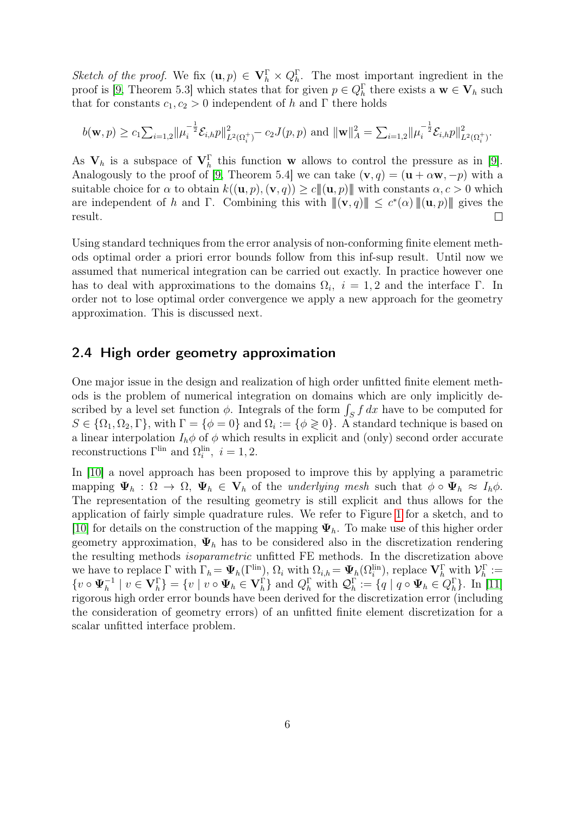Sketch of the proof. We fix  $(\mathbf{u}, p) \in \mathbf{V}_h^{\Gamma} \times Q_h^{\Gamma}$ . The most important ingredient in the proof is [\[9,](#page-8-5) Theorem 5.3] which states that for given  $p \in Q_h^{\Gamma}$  there exists a  $\mathbf{w} \in \mathbf{V}_h$  such that for constants  $c_1, c_2 > 0$  independent of h and Γ there holds

$$
b(\mathbf{w}, p) \ge c_1 \sum_{i=1,2} ||\mu_i^{-\frac{1}{2}} \mathcal{E}_{i,h} p||_{L^2(\Omega_i^+)}^2 - c_2 J(p, p) \text{ and } ||\mathbf{w}||_A^2 = \sum_{i=1,2} ||\mu_i^{-\frac{1}{2}} \mathcal{E}_{i,h} p||_{L^2(\Omega_i^+)}^2.
$$

As  $V_h$  is a subspace of  $V_h^{\Gamma}$  this function w allows to control the pressure as in [\[9\]](#page-8-5). Analogously to the proof of [\[9,](#page-8-5) Theorem 5.4] we can take  $(v, q) = (u + \alpha w, -p)$  with a suitable choice for  $\alpha$  to obtain  $k((\mathbf{u}, p), (\mathbf{v}, q)) \ge c \|(\mathbf{u}, p)\|$  with constants  $\alpha, c > 0$  which are independent of h and Γ. Combining this with  $\|(\mathbf{v}, q)\| \leq c^*(\alpha) \|(\mathbf{u}, p)\|$  gives the result.  $\Box$ 

Using standard techniques from the error analysis of non-conforming finite element methods optimal order a priori error bounds follow from this inf-sup result. Until now we assumed that numerical integration can be carried out exactly. In practice however one has to deal with approximations to the domains  $\Omega_i$ ,  $i = 1, 2$  and the interface  $\Gamma$ . In order not to lose optimal order convergence we apply a new approach for the geometry approximation. This is discussed next.

#### <span id="page-5-0"></span>2.4 High order geometry approximation

One major issue in the design and realization of high order unfitted finite element methods is the problem of numerical integration on domains which are only implicitly described by a level set function  $\phi$ . Integrals of the form  $\int_S f dx$  have to be computed for  $S \in \{\Omega_1, \Omega_2, \Gamma\}$ , with  $\Gamma = \{\phi = 0\}$  and  $\Omega_i := \{\phi \geq 0\}$ . A standard technique is based on a linear interpolation  $I_h \phi$  of  $\phi$  which results in explicit and (only) second order accurate reconstructions  $\Gamma^{\text{lin}}$  and  $\Omega_i^{\text{lin}}$ ,  $i = 1, 2$ .

In [\[10\]](#page-9-4) a novel approach has been proposed to improve this by applying a parametric mapping  $\Psi_h : \Omega \to \Omega$ ,  $\Psi_h \in V_h$  of the underlying mesh such that  $\phi \circ \Psi_h \approx I_h \phi$ . The representation of the resulting geometry is still explicit and thus allows for the application of fairly simple quadrature rules. We refer to Figure [1](#page-6-1) for a sketch, and to [\[10\]](#page-9-4) for details on the construction of the mapping  $\Psi_h$ . To make use of this higher order geometry approximation,  $\Psi_h$  has to be considered also in the discretization rendering the resulting methods isoparametric unfitted FE methods. In the discretization above we have to replace  $\Gamma$  with  $\Gamma_h = \Psi_h(\Gamma^{\text{lin}}), \Omega_i$  with  $\Omega_{i,h} = \Psi_h(\Omega^{\text{lin}}_i)$ , replace  $\mathbf{V}_h^{\Gamma}$  with  $\mathcal{V}_h^{\Gamma} :=$  $\{v \circ \Psi_h^{-1} \mid v \in \mathbf{V}_h^{\Gamma}\} = \{v \mid v \circ \Psi_h \in \mathbf{V}_h^{\Gamma}\}$  and  $Q_h^{\Gamma}$  with  $\mathcal{Q}_h^{\Gamma} := \{q \mid q \circ \Psi_h \in Q_h^{\Gamma}\}$ . In [\[11\]](#page-9-1) rigorous high order error bounds have been derived for the discretization error (including the consideration of geometry errors) of an unfitted finite element discretization for a scalar unfitted interface problem.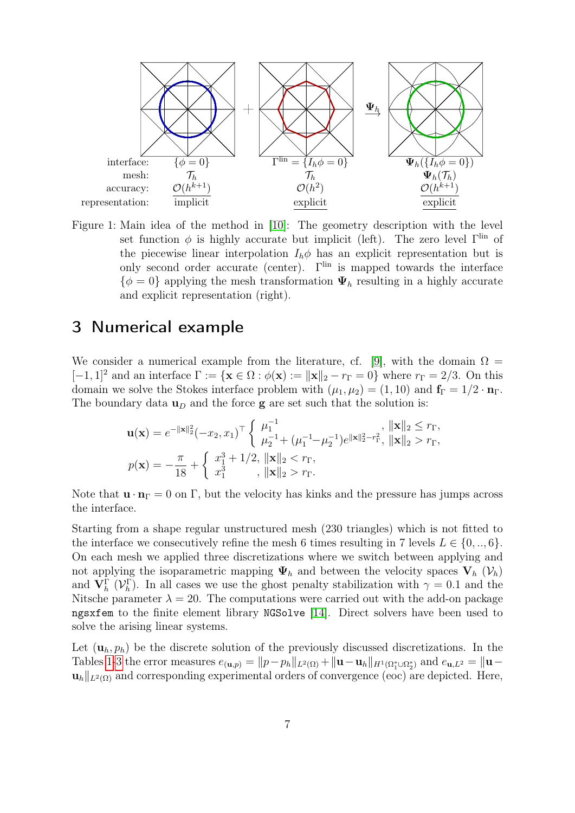<span id="page-6-1"></span>

Figure 1: Main idea of the method in [\[10\]](#page-9-4): The geometry description with the level set function  $\phi$  is highly accurate but implicit (left). The zero level  $\Gamma^{\text{lin}}$  of the piecewise linear interpolation  $I_h \phi$  has an explicit representation but is only second order accurate (center).  $\Gamma^{\text{lin}}$  is mapped towards the interface  $\{\phi = 0\}$  applying the mesh transformation  $\Psi_h$  resulting in a highly accurate and explicit representation (right).

## <span id="page-6-0"></span>3 Numerical example

We consider a numerical example from the literature, cf. [\[9\]](#page-8-5), with the domain  $\Omega =$  $[-1, 1]^2$  and an interface  $\Gamma := {\{\mathbf{x} \in \Omega : \phi(\mathbf{x}) := ||\mathbf{x}||_2 - r_\Gamma = 0\}}$  where  $r_\Gamma = 2/3$ . On this domain we solve the Stokes interface problem with  $(\mu_1, \mu_2) = (1, 10)$  and  $\mathbf{f}_{\Gamma} = 1/2 \cdot \mathbf{n}_{\Gamma}$ . The boundary data  $\mathbf{u}_D$  and the force **g** are set such that the solution is:

$$
\mathbf{u}(\mathbf{x}) = e^{-\|\mathbf{x}\|_{2}^{2}}(-x_{2}, x_{1})^{\top} \begin{cases} \mu_{1}^{-1} & , \|\mathbf{x}\|_{2} \leq r_{\Gamma}, \\ \mu_{2}^{-1} + (\mu_{1}^{-1} - \mu_{2}^{-1})e^{\|\mathbf{x}\|_{2}^{2} - r_{\Gamma}^{2}}, \|\mathbf{x}\|_{2} > r_{\Gamma}, \end{cases}
$$

$$
p(\mathbf{x}) = -\frac{\pi}{18} + \begin{cases} x_{1}^{3} + 1/2, \|\mathbf{x}\|_{2} < r_{\Gamma}, \\ x_{1}^{3} & , \|\mathbf{x}\|_{2} > r_{\Gamma}. \end{cases}
$$

Note that  $\mathbf{u} \cdot \mathbf{n}_{\Gamma} = 0$  on  $\Gamma$ , but the velocity has kinks and the pressure has jumps across the interface.

Starting from a shape regular unstructured mesh (230 triangles) which is not fitted to the interface we consecutively refine the mesh 6 times resulting in 7 levels  $L \in \{0, ..., 6\}$ . On each mesh we applied three discretizations where we switch between applying and not applying the isoparametric mapping  $\Psi_h$  and between the velocity spaces  $V_h$  ( $V_h$ ) and  $\mathbf{V}_h^{\Gamma}$  ( $\mathcal{V}_h^{\Gamma}$ ). In all cases we use the ghost penalty stabilization with  $\gamma = 0.1$  and the Nitsche parameter  $\lambda = 20$ . The computations were carried out with the add-on package ngsxfem to the finite element library NGSolve [\[14\]](#page-9-5). Direct solvers have been used to solve the arising linear systems.

Let  $(\mathbf{u}_h, p_h)$  be the discrete solution of the previously discussed discretizations. In the Tables [1](#page-7-0)[-3](#page-8-9) the error measures  $e_{(\mathbf{u},p)} = ||p-p_h||_{L^2(\Omega)} + ||\mathbf{u}-\mathbf{u}_h||_{H^1(\Omega_1^*\cup\Omega_2^*)}$  and  $e_{\mathbf{u},L^2} = ||\mathbf{u}-\mathbf{u}_h||_{H^1(\Omega_1^*\cup\Omega_2^*)}$  $\mathbf{u}_h||_{L^2(\Omega)}$  and corresponding experimental orders of convergence (eoc) are depicted. Here,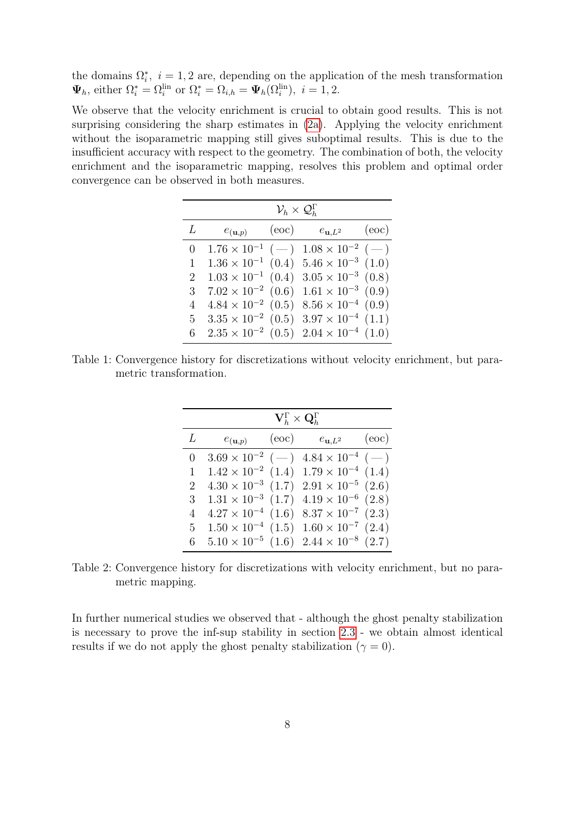the domains  $\Omega_i^*$ ,  $i = 1, 2$  are, depending on the application of the mesh transformation  $\Psi_h$ , either  $\Omega_i^* = \Omega_{i}^{\text{lin}}$  or  $\Omega_i^* = \Omega_{i,h} = \Psi_h(\Omega_i^{\text{lin}})$ ,  $i = 1, 2$ .

<span id="page-7-0"></span>We observe that the velocity enrichment is crucial to obtain good results. This is not surprising considering the sharp estimates in [\(2a\)](#page-2-2). Applying the velocity enrichment without the isoparametric mapping still gives suboptimal results. This is due to the insufficient accuracy with respect to the geometry. The combination of both, the velocity enrichment and the isoparametric mapping, resolves this problem and optimal order convergence can be observed in both measures.

|                | $\mathcal{V}_h\times \mathcal{Q}_h^{\Gamma}$ |       |                                                         |       |  |  |
|----------------|----------------------------------------------|-------|---------------------------------------------------------|-------|--|--|
| L              | $e_{(\mathbf{u},p)}$                         | (eoc) | $e_{{\bf u},L^2}$                                       | (eoc) |  |  |
| $\overline{0}$ |                                              |       | $1.76 \times 10^{-1}$ (-) $1.08 \times 10^{-2}$ (-)     |       |  |  |
| 1              |                                              |       | $1.36 \times 10^{-1}$ (0.4) $5.46 \times 10^{-3}$ (1.0) |       |  |  |
| $\overline{2}$ | $1.03 \times 10^{-1}$ (0.4)                  |       | $3.05 \times 10^{-3}$ (0.8)                             |       |  |  |
| 3              | $7.02 \times 10^{-2}$ (0.6)                  |       | $1.61 \times 10^{-3}$ (0.9)                             |       |  |  |
| 4              | $4.84 \times 10^{-2}$ (0.5)                  |       | $8.56 \times 10^{-4}$ (0.9)                             |       |  |  |
| 5 <sup>5</sup> |                                              |       | $3.35 \times 10^{-2}$ (0.5) $3.97 \times 10^{-4}$ (1.1) |       |  |  |
| 6              |                                              |       | $2.35 \times 10^{-2}$ (0.5) $2.04 \times 10^{-4}$ (1.0) |       |  |  |

Table 1: Convergence history for discretizations without velocity enrichment, but parametric transformation.

|                | $\mathbf{V}_h^\Gamma \times \mathbf{Q}_h^\Gamma$ |       |                                                         |       |  |  |
|----------------|--------------------------------------------------|-------|---------------------------------------------------------|-------|--|--|
| L              | $e_{({\mathbf{u}},p)}$                           | (eoc) | $e_{\mathbf{u},L^2}$                                    | (eoc) |  |  |
| $\overline{0}$ |                                                  |       | $3.69 \times 10^{-2}$ (-) $4.84 \times 10^{-4}$ (-)     |       |  |  |
| 1              |                                                  |       | $1.42 \times 10^{-2}$ (1.4) $1.79 \times 10^{-4}$ (1.4) |       |  |  |
| $\overline{2}$ |                                                  |       | $4.30 \times 10^{-3}$ (1.7) $2.91 \times 10^{-5}$ (2.6) |       |  |  |
| 3 <sup>1</sup> |                                                  |       | $1.31 \times 10^{-3}$ (1.7) $4.19 \times 10^{-6}$ (2.8) |       |  |  |
| $\overline{4}$ |                                                  |       | $4.27 \times 10^{-4}$ (1.6) $8.37 \times 10^{-7}$ (2.3) |       |  |  |
| 5 <sup>5</sup> |                                                  |       | $1.50 \times 10^{-4}$ (1.5) $1.60 \times 10^{-7}$ (2.4) |       |  |  |
| 6              |                                                  |       | $5.10 \times 10^{-5}$ (1.6) $2.44 \times 10^{-8}$ (2.7) |       |  |  |

Table 2: Convergence history for discretizations with velocity enrichment, but no parametric mapping.

In further numerical studies we observed that - although the ghost penalty stabilization is necessary to prove the inf-sup stability in section [2.3](#page-3-0) - we obtain almost identical results if we do not apply the ghost penalty stabilization ( $\gamma = 0$ ).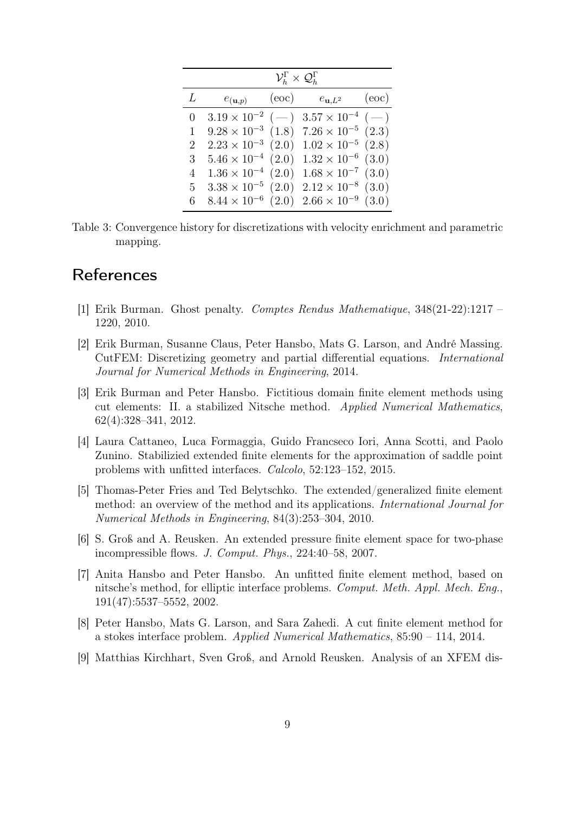<span id="page-8-9"></span>

|          | $\mathcal{V}_h^\Gamma\times \mathcal{Q}_h^\Gamma$ |       |                                                         |       |  |  |
|----------|---------------------------------------------------|-------|---------------------------------------------------------|-------|--|--|
| L        | $e_{(\mathbf{u},p)}$                              | (eoc) | $e_{\mathbf{u},L^2}$                                    | (eoc) |  |  |
| $\theta$ |                                                   |       | $3.19 \times 10^{-2}$ (-) $3.57 \times 10^{-4}$ (-)     |       |  |  |
| 1        | $9.28 \times 10^{-3}$ (1.8)                       |       | $7.26 \times 10^{-5}$ $(2.3)$                           |       |  |  |
| 2        | $2.23 \times 10^{-3}$ (2.0)                       |       | $1.02 \times 10^{-5}$ (2.8)                             |       |  |  |
| 3        | $5.46 \times 10^{-4}$ (2.0)                       |       | $1.32 \times 10^{-6}$ (3.0)                             |       |  |  |
| 4        | $1.36 \times 10^{-4}$ (2.0)                       |       | $1.68 \times 10^{-7}$ (3.0)                             |       |  |  |
| 5.       | $3.38 \times 10^{-5}$ (2.0)                       |       | $2.12 \times 10^{-8}$ (3.0)                             |       |  |  |
| 6        |                                                   |       | $8.44 \times 10^{-6}$ (2.0) $2.66 \times 10^{-9}$ (3.0) |       |  |  |

Table 3: Convergence history for discretizations with velocity enrichment and parametric mapping.

# **References**

- <span id="page-8-7"></span>[1] Erik Burman. Ghost penalty. Comptes Rendus Mathematique, 348(21-22):1217 – 1220, 2010.
- <span id="page-8-0"></span>[2] Erik Burman, Susanne Claus, Peter Hansbo, Mats G. Larson, and André Massing. CutFEM: Discretizing geometry and partial differential equations. International Journal for Numerical Methods in Engineering, 2014.
- <span id="page-8-8"></span>[3] Erik Burman and Peter Hansbo. Fictitious domain finite element methods using cut elements: II. a stabilized Nitsche method. Applied Numerical Mathematics, 62(4):328–341, 2012.
- <span id="page-8-6"></span>[4] Laura Cattaneo, Luca Formaggia, Guido Francseco Iori, Anna Scotti, and Paolo Zunino. Stabilizied extended finite elements for the approximation of saddle point problems with unfitted interfaces. Calcolo, 52:123–152, 2015.
- <span id="page-8-1"></span>[5] Thomas-Peter Fries and Ted Belytschko. The extended/generalized finite element method: an overview of the method and its applications. International Journal for Numerical Methods in Engineering, 84(3):253–304, 2010.
- <span id="page-8-3"></span>[6] S. Groß and A. Reusken. An extended pressure finite element space for two-phase incompressible flows. J. Comput. Phys., 224:40–58, 2007.
- <span id="page-8-2"></span>[7] Anita Hansbo and Peter Hansbo. An unfitted finite element method, based on nitsche's method, for elliptic interface problems. Comput. Meth. Appl. Mech. Eng., 191(47):5537–5552, 2002.
- <span id="page-8-4"></span>[8] Peter Hansbo, Mats G. Larson, and Sara Zahedi. A cut finite element method for a stokes interface problem. Applied Numerical Mathematics, 85:90 – 114, 2014.
- <span id="page-8-5"></span>[9] Matthias Kirchhart, Sven Groß, and Arnold Reusken. Analysis of an XFEM dis-